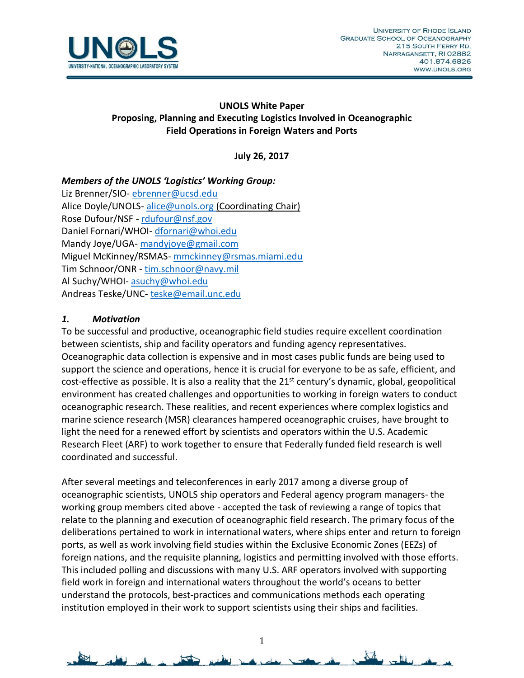

## **UNOLS White Paper Proposing, Planning and Executing Logistics Involved in Oceanographic Field Operations in Foreign Waters and Ports**

**July 26, 2017**

## *Members of the UNOLS 'Logistics' Working Group:*

Liz Brenner/SIO- [ebrenner@ucsd.edu](mailto:ebrenner@ucsd.edu) Alice Doyle/UNOLS-[alice@unols.org](mailto:alice@unols.org) (Coordinating Chair) Rose Dufour/NSF - [rdufour@nsf.gov](mailto:rdufour@nsf.gov) Daniel Fornari/WHOI- [dfornari@whoi.edu](mailto:dfornari@whoi.edu) Mandy Joye/UGA- [mandyjoye@gmail.com](mailto:mandyjoye@gmail.com) Miguel McKinney/RSMAS- [mmckinney@rsmas.miami.edu](mailto:mmckinney@rsmas.miami.edu) Tim Schnoor/ONR - [tim.schnoor@navy.mil](mailto:tim.schnoor@navy.mil) Al Suchy/WHOI- [asuchy@whoi.edu](mailto:asuchy@whoi.edu) Andreas Teske/UNC-[teske@email.unc.edu](mailto:teske@email.unc.edu)

## *1. Motivation*

To be successful and productive, oceanographic field studies require excellent coordination between scientists, ship and facility operators and funding agency representatives. Oceanographic data collection is expensive and in most cases public funds are being used to support the science and operations, hence it is crucial for everyone to be as safe, efficient, and cost-effective as possible. It is also a reality that the 21<sup>st</sup> century's dynamic, global, geopolitical environment has created challenges and opportunities to working in foreign waters to conduct oceanographic research. These realities, and recent experiences where complex logistics and marine science research (MSR) clearances hampered oceanographic cruises, have brought to light the need for a renewed effort by scientists and operators within the U.S. Academic Research Fleet (ARF) to work together to ensure that Federally funded field research is well coordinated and successful.

After several meetings and teleconferences in early 2017 among a diverse group of oceanographic scientists, UNOLS ship operators and Federal agency program managers- the working group members cited above - accepted the task of reviewing a range of topics that relate to the planning and execution of oceanographic field research. The primary focus of the deliberations pertained to work in international waters, where ships enter and return to foreign ports, as well as work involving field studies within the Exclusive Economic Zones (EEZs) of foreign nations, and the requisite planning, logistics and permitting involved with those efforts. This included polling and discussions with many U.S. ARF operators involved with supporting field work in foreign and international waters throughout the world's oceans to better understand the protocols, best-practices and communications methods each operating institution employed in their work to support scientists using their ships and facilities.

1

 $\Delta t$ 

 $-11$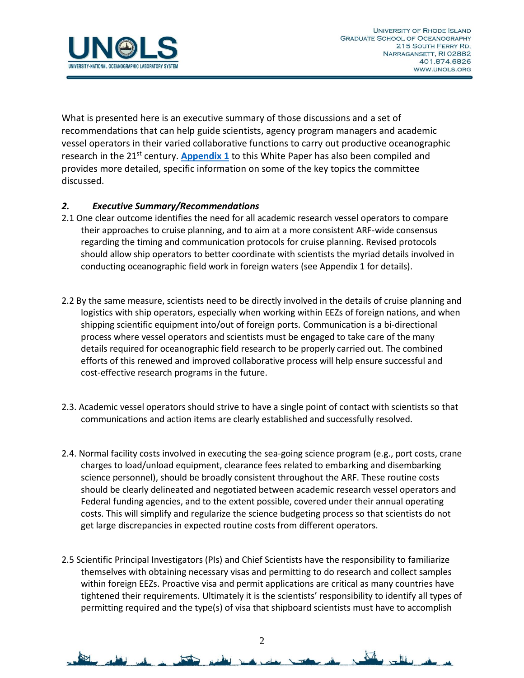

What is presented here is an executive summary of those discussions and a set of recommendations that can help guide scientists, agency program managers and academic vessel operators in their varied collaborative functions to carry out productive oceanographic research in the 21st century. **[Appendix 1](https://www.unols.org/sites/default/files/White%20Paper%20App1_Operations%20in%20Foreign%20Ports%20and%20Waters%20.pdf)** to this White Paper has also been compiled and provides more detailed, specific information on some of the key topics the committee discussed.

## *2. Executive Summary/Recommendations*

- 2.1 One clear outcome identifies the need for all academic research vessel operators to compare their approaches to cruise planning, and to aim at a more consistent ARF-wide consensus regarding the timing and communication protocols for cruise planning. Revised protocols should allow ship operators to better coordinate with scientists the myriad details involved in conducting oceanographic field work in foreign waters (see Appendix 1 for details).
- 2.2 By the same measure, scientists need to be directly involved in the details of cruise planning and logistics with ship operators, especially when working within EEZs of foreign nations, and when shipping scientific equipment into/out of foreign ports. Communication is a bi-directional process where vessel operators and scientists must be engaged to take care of the many details required for oceanographic field research to be properly carried out. The combined efforts of this renewed and improved collaborative process will help ensure successful and cost-effective research programs in the future.
- 2.3. Academic vessel operators should strive to have a single point of contact with scientists so that communications and action items are clearly established and successfully resolved.
- 2.4. Normal facility costs involved in executing the sea-going science program (e.g., port costs, crane charges to load/unload equipment, clearance fees related to embarking and disembarking science personnel), should be broadly consistent throughout the ARF. These routine costs should be clearly delineated and negotiated between academic research vessel operators and Federal funding agencies, and to the extent possible, covered under their annual operating costs. This will simplify and regularize the science budgeting process so that scientists do not get large discrepancies in expected routine costs from different operators.
- 2.5 Scientific Principal Investigators (PIs) and Chief Scientists have the responsibility to familiarize themselves with obtaining necessary visas and permitting to do research and collect samples within foreign EEZs. Proactive visa and permit applications are critical as many countries have tightened their requirements. Ultimately it is the scientists' responsibility to identify all types of permitting required and the type(s) of visa that shipboard scientists must have to accomplish